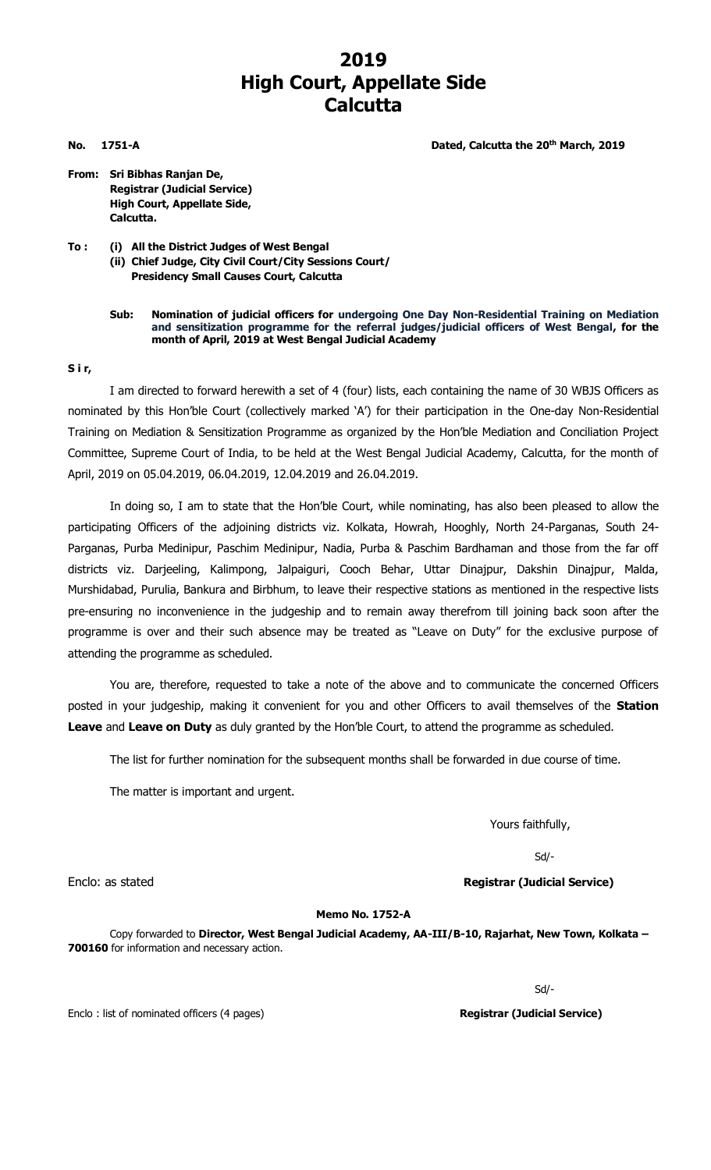## **2019 High Court, Appellate Side Calcutta**

**No.** 1751-A **Dated, Calcutta the 20<sup>th</sup> March, 2019** 

**From: Sri Bibhas Ranjan De, Registrar (Judicial Service) High Court, Appellate Side,**

**Calcutta.**

**To : (i) All the District Judges of West Bengal (ii) Chief Judge, City Civil Court/City Sessions Court/ Presidency Small Causes Court, Calcutta**

## **Sub: Nomination of judicial officers for undergoing One Day Non-Residential Training on Mediation and sensitization programme for the referral judges/judicial officers of West Bengal, for the month of April, 2019 at West Bengal Judicial Academy**

## **S i r,**

I am directed to forward herewith a set of 4 (four) lists, each containing the name of 30 WBJS Officers as nominated by this Hon'ble Court (collectively marked 'A') for their participation in the One-day Non-Residential Training on Mediation & Sensitization Programme as organized by the Hon'ble Mediation and Conciliation Project Committee, Supreme Court of India, to be held at the West Bengal Judicial Academy, Calcutta, for the month of April, 2019 on 05.04.2019, 06.04.2019, 12.04.2019 and 26.04.2019.

In doing so, I am to state that the Hon'ble Court, while nominating, has also been pleased to allow the participating Officers of the adjoining districts viz. Kolkata, Howrah, Hooghly, North 24-Parganas, South 24- Parganas, Purba Medinipur, Paschim Medinipur, Nadia, Purba & Paschim Bardhaman and those from the far off districts viz. Darjeeling, Kalimpong, Jalpaiguri, Cooch Behar, Uttar Dinajpur, Dakshin Dinajpur, Malda, Murshidabad, Purulia, Bankura and Birbhum, to leave their respective stations as mentioned in the respective lists pre-ensuring no inconvenience in the judgeship and to remain away therefrom till joining back soon after the programme is over and their such absence may be treated as "Leave on Duty" for the exclusive purpose of attending the programme as scheduled.

You are, therefore, requested to take a note of the above and to communicate the concerned Officers posted in your judgeship, making it convenient for you and other Officers to avail themselves of the **Station Leave** and **Leave on Duty** as duly granted by the Hon'ble Court, to attend the programme as scheduled.

The list for further nomination for the subsequent months shall be forwarded in due course of time.

The matter is important and urgent.

Yours faithfully,

Sd/-

Enclo: as stated **Registrar (Judicial Service)**

## **Memo No. 1752-A**

Copy forwarded to **Director, West Bengal Judicial Academy, AA-III/B-10, Rajarhat, New Town, Kolkata – 700160** for information and necessary action.

Sd/-

Enclo : list of nominated officers (4 pages) **Registrar (Judicial Service)**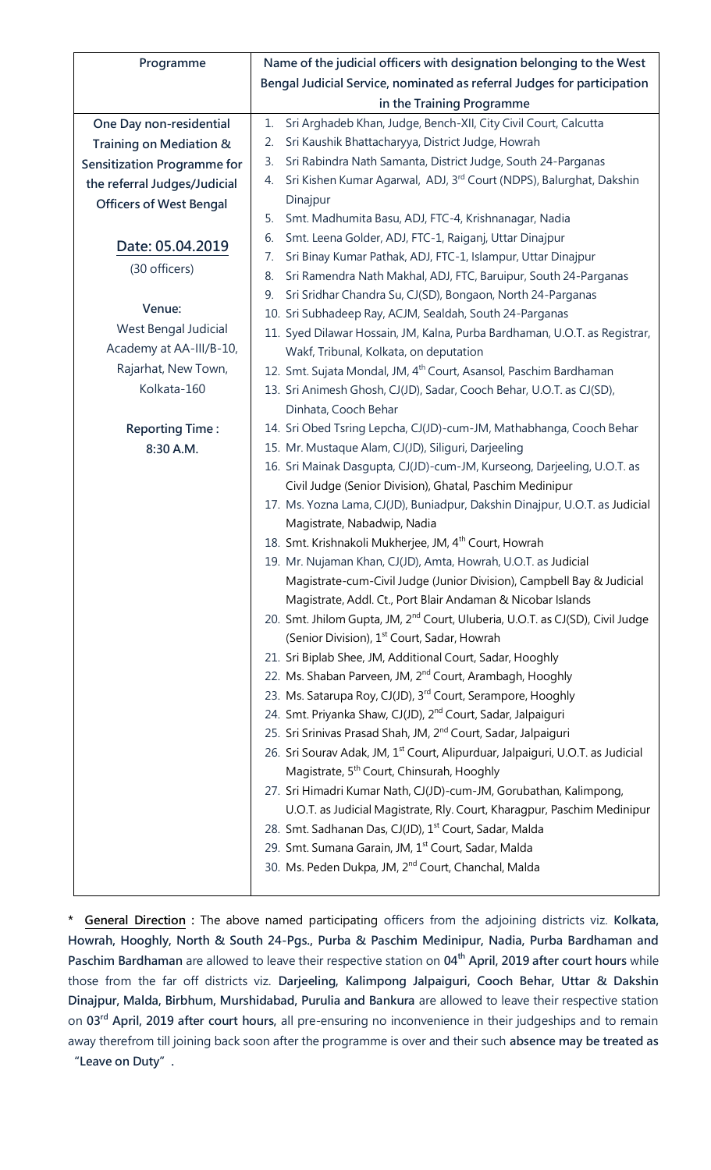| Programme                          | Name of the judicial officers with designation belonging to the West                                                                |
|------------------------------------|-------------------------------------------------------------------------------------------------------------------------------------|
|                                    | Bengal Judicial Service, nominated as referral Judges for participation                                                             |
|                                    | in the Training Programme                                                                                                           |
| One Day non-residential            | Sri Arghadeb Khan, Judge, Bench-XII, City Civil Court, Calcutta<br>1.                                                               |
| Training on Mediation &            | Sri Kaushik Bhattacharyya, District Judge, Howrah<br>2.                                                                             |
| <b>Sensitization Programme for</b> | Sri Rabindra Nath Samanta, District Judge, South 24-Parganas<br>3.                                                                  |
| the referral Judges/Judicial       | Sri Kishen Kumar Agarwal, ADJ, 3rd Court (NDPS), Balurghat, Dakshin<br>4.                                                           |
| <b>Officers of West Bengal</b>     | Dinajpur                                                                                                                            |
|                                    | Smt. Madhumita Basu, ADJ, FTC-4, Krishnanagar, Nadia<br>5.                                                                          |
| Date: 05.04.2019                   | Smt. Leena Golder, ADJ, FTC-1, Raiganj, Uttar Dinajpur<br>6.                                                                        |
| (30 officers)                      | Sri Binay Kumar Pathak, ADJ, FTC-1, Islampur, Uttar Dinajpur<br>7.                                                                  |
|                                    | Sri Ramendra Nath Makhal, ADJ, FTC, Baruipur, South 24-Parganas<br>8.                                                               |
| Venue:                             | Sri Sridhar Chandra Su, CJ(SD), Bongaon, North 24-Parganas<br>9.                                                                    |
|                                    | 10. Sri Subhadeep Ray, ACJM, Sealdah, South 24-Parganas                                                                             |
| West Bengal Judicial               | 11. Syed Dilawar Hossain, JM, Kalna, Purba Bardhaman, U.O.T. as Registrar,                                                          |
| Academy at AA-III/B-10,            | Wakf, Tribunal, Kolkata, on deputation                                                                                              |
| Rajarhat, New Town,                | 12. Smt. Sujata Mondal, JM, 4 <sup>th</sup> Court, Asansol, Paschim Bardhaman                                                       |
| Kolkata-160                        | 13. Sri Animesh Ghosh, CJ(JD), Sadar, Cooch Behar, U.O.T. as CJ(SD),                                                                |
|                                    | Dinhata, Cooch Behar                                                                                                                |
| <b>Reporting Time:</b>             | 14. Sri Obed Tsring Lepcha, CJ(JD)-cum-JM, Mathabhanga, Cooch Behar                                                                 |
| 8:30 A.M.                          | 15. Mr. Mustaque Alam, CJ(JD), Siliguri, Darjeeling                                                                                 |
|                                    | 16. Sri Mainak Dasgupta, CJ(JD)-cum-JM, Kurseong, Darjeeling, U.O.T. as<br>Civil Judge (Senior Division), Ghatal, Paschim Medinipur |
|                                    | 17. Ms. Yozna Lama, CJ(JD), Buniadpur, Dakshin Dinajpur, U.O.T. as Judicial                                                         |
|                                    | Magistrate, Nabadwip, Nadia                                                                                                         |
|                                    | 18. Smt. Krishnakoli Mukherjee, JM, 4 <sup>th</sup> Court, Howrah                                                                   |
|                                    | 19. Mr. Nujaman Khan, CJ(JD), Amta, Howrah, U.O.T. as Judicial                                                                      |
|                                    | Magistrate-cum-Civil Judge (Junior Division), Campbell Bay & Judicial                                                               |
|                                    | Magistrate, Addl. Ct., Port Blair Andaman & Nicobar Islands                                                                         |
|                                    | 20. Smt. Jhilom Gupta, JM, 2 <sup>nd</sup> Court, Uluberia, U.O.T. as CJ(SD), Civil Judge                                           |
|                                    | (Senior Division), 1 <sup>st</sup> Court, Sadar, Howrah                                                                             |
|                                    | 21. Sri Biplab Shee, JM, Additional Court, Sadar, Hooghly                                                                           |
|                                    | 22. Ms. Shaban Parveen, JM, 2 <sup>nd</sup> Court, Arambagh, Hooghly                                                                |
|                                    | 23. Ms. Satarupa Roy, CJ(JD), 3rd Court, Serampore, Hooghly                                                                         |
|                                    | 24. Smt. Priyanka Shaw, CJ(JD), 2 <sup>nd</sup> Court, Sadar, Jalpaiguri                                                            |
|                                    | 25. Sri Srinivas Prasad Shah, JM, 2 <sup>nd</sup> Court, Sadar, Jalpaiguri                                                          |
|                                    | 26. Sri Sourav Adak, JM, 1 <sup>st</sup> Court, Alipurduar, Jalpaiguri, U.O.T. as Judicial                                          |
|                                    | Magistrate, 5 <sup>th</sup> Court, Chinsurah, Hooghly                                                                               |
|                                    | 27. Sri Himadri Kumar Nath, CJ(JD)-cum-JM, Gorubathan, Kalimpong,                                                                   |
|                                    | U.O.T. as Judicial Magistrate, Rly. Court, Kharagpur, Paschim Medinipur                                                             |
|                                    | 28. Smt. Sadhanan Das, CJ(JD), 1 <sup>st</sup> Court, Sadar, Malda                                                                  |
|                                    | 29. Smt. Sumana Garain, JM, 1 <sup>st</sup> Court, Sadar, Malda                                                                     |
|                                    | 30. Ms. Peden Dukpa, JM, 2 <sup>nd</sup> Court, Chanchal, Malda                                                                     |
|                                    |                                                                                                                                     |

**\* General Direction :** The above named participating officers from the adjoining districts viz. **Kolkata, Howrah, Hooghly, North & South 24-Pgs., Purba & Paschim Medinipur, Nadia, Purba Bardhaman and Paschim Bardhaman** are allowed to leave their respective station on **04th April, 2019 after court hours** while those from the far off districts viz. **Darjeeling, Kalimpong Jalpaiguri, Cooch Behar, Uttar & Dakshin Dinajpur, Malda, Birbhum, Murshidabad, Purulia and Bankura** are allowed to leave their respective station on **03rd April, 2019 after court hours,** all pre-ensuring no inconvenience in their judgeships and to remain away therefrom till joining back soon after the programme is over and their such **absence may be treated as "Leave on Duty".**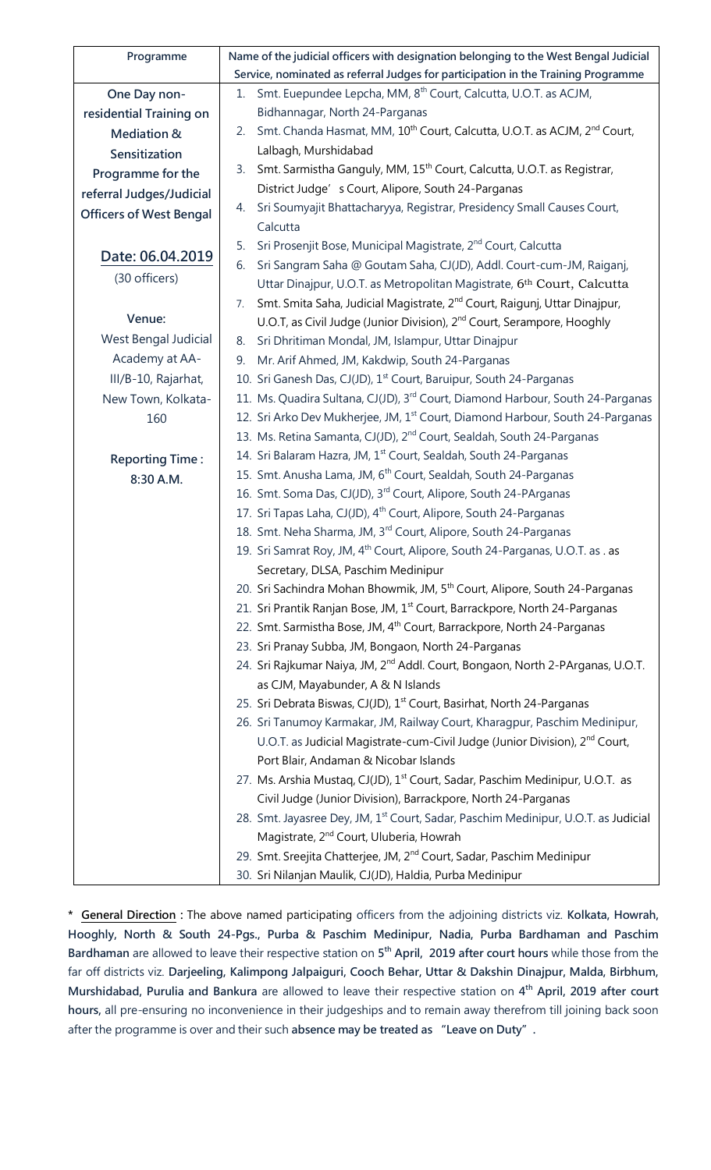| Programme                      | Name of the judicial officers with designation belonging to the West Bengal Judicial                   |
|--------------------------------|--------------------------------------------------------------------------------------------------------|
|                                | Service, nominated as referral Judges for participation in the Training Programme                      |
| One Day non-                   | Smt. Euepundee Lepcha, MM, 8 <sup>th</sup> Court, Calcutta, U.O.T. as ACJM,<br>1.                      |
| residential Training on        | Bidhannagar, North 24-Parganas                                                                         |
| Mediation &                    | Smt. Chanda Hasmat, MM, 10 <sup>th</sup> Court, Calcutta, U.O.T. as ACJM, 2 <sup>nd</sup> Court,<br>2. |
| Sensitization                  | Lalbagh, Murshidabad                                                                                   |
| Programme for the              | Smt. Sarmistha Ganguly, MM, 15 <sup>th</sup> Court, Calcutta, U.O.T. as Registrar,<br>3.               |
| referral Judges/Judicial       | District Judge' s Court, Alipore, South 24-Parganas                                                    |
| <b>Officers of West Bengal</b> | Sri Soumyajit Bhattacharyya, Registrar, Presidency Small Causes Court,<br>4.                           |
|                                | Calcutta                                                                                               |
| Date: 06.04.2019               | Sri Prosenjit Bose, Municipal Magistrate, 2 <sup>nd</sup> Court, Calcutta<br>5.                        |
|                                | Sri Sangram Saha @ Goutam Saha, CJ(JD), Addl. Court-cum-JM, Raiganj,<br>6.                             |
| (30 officers)                  | Uttar Dinajpur, U.O.T. as Metropolitan Magistrate, 6th Court, Calcutta                                 |
|                                | Smt. Smita Saha, Judicial Magistrate, 2 <sup>nd</sup> Court, Raigunj, Uttar Dinajpur,<br>7.            |
| Venue:                         | U.O.T, as Civil Judge (Junior Division), 2 <sup>nd</sup> Court, Serampore, Hooghly                     |
| West Bengal Judicial           | Sri Dhritiman Mondal, JM, Islampur, Uttar Dinajpur<br>8.                                               |
| Academy at AA-                 | Mr. Arif Ahmed, JM, Kakdwip, South 24-Parganas<br>9.                                                   |
| III/B-10, Rajarhat,            | 10. Sri Ganesh Das, CJ(JD), 1 <sup>st</sup> Court, Baruipur, South 24-Parganas                         |
| New Town, Kolkata-             | 11. Ms. Quadira Sultana, CJ(JD), 3 <sup>rd</sup> Court, Diamond Harbour, South 24-Parganas             |
| 160                            | 12. Sri Arko Dev Mukherjee, JM, 1 <sup>st</sup> Court, Diamond Harbour, South 24-Parganas              |
|                                | 13. Ms. Retina Samanta, CJ(JD), 2 <sup>nd</sup> Court, Sealdah, South 24-Parganas                      |
| <b>Reporting Time:</b>         | 14. Sri Balaram Hazra, JM, 1 <sup>st</sup> Court, Sealdah, South 24-Parganas                           |
| 8:30 A.M.                      | 15. Smt. Anusha Lama, JM, 6 <sup>th</sup> Court, Sealdah, South 24-Parganas                            |
|                                | 16. Smt. Soma Das, CJ(JD), 3rd Court, Alipore, South 24-PArganas                                       |
|                                | 17. Sri Tapas Laha, CJ(JD), 4 <sup>th</sup> Court, Alipore, South 24-Parganas                          |
|                                | 18. Smt. Neha Sharma, JM, 3 <sup>rd</sup> Court, Alipore, South 24-Parganas                            |
|                                | 19. Sri Samrat Roy, JM, 4 <sup>th</sup> Court, Alipore, South 24-Parganas, U.O.T. as . as              |
|                                | Secretary, DLSA, Paschim Medinipur                                                                     |
|                                | 20. Sri Sachindra Mohan Bhowmik, JM, 5 <sup>th</sup> Court, Alipore, South 24-Parganas                 |
|                                | 21. Sri Prantik Ranjan Bose, JM, 1 <sup>st</sup> Court, Barrackpore, North 24-Parganas                 |
|                                | 22. Smt. Sarmistha Bose, JM, 4 <sup>th</sup> Court, Barrackpore, North 24-Parganas                     |
|                                | 23. Sri Pranay Subba, JM, Bongaon, North 24-Parganas                                                   |
|                                | 24. Sri Rajkumar Naiya, JM, 2 <sup>nd</sup> Addl. Court, Bongaon, North 2-PArganas, U.O.T.             |
|                                | as CJM, Mayabunder, A & N Islands                                                                      |
|                                | 25. Sri Debrata Biswas, CJ(JD), 1 <sup>st</sup> Court, Basirhat, North 24-Parganas                     |
|                                | 26. Sri Tanumoy Karmakar, JM, Railway Court, Kharagpur, Paschim Medinipur,                             |
|                                | U.O.T. as Judicial Magistrate-cum-Civil Judge (Junior Division), 2 <sup>nd</sup> Court,                |
|                                | Port Blair, Andaman & Nicobar Islands                                                                  |
|                                | 27. Ms. Arshia Mustaq, CJ(JD), 1 <sup>st</sup> Court, Sadar, Paschim Medinipur, U.O.T. as              |
|                                | Civil Judge (Junior Division), Barrackpore, North 24-Parganas                                          |
|                                | 28. Smt. Jayasree Dey, JM, 1st Court, Sadar, Paschim Medinipur, U.O.T. as Judicial                     |
|                                | Magistrate, 2 <sup>nd</sup> Court, Uluberia, Howrah                                                    |
|                                | 29. Smt. Sreejita Chatterjee, JM, 2 <sup>nd</sup> Court, Sadar, Paschim Medinipur                      |
|                                | 30. Sri Nilanjan Maulik, CJ(JD), Haldia, Purba Medinipur                                               |

**\* General Direction :** The above named participating officers from the adjoining districts viz. **Kolkata, Howrah, Hooghly, North & South 24-Pgs., Purba & Paschim Medinipur, Nadia, Purba Bardhaman and Paschim Bardhaman** are allowed to leave their respective station on **5 th April, 2019 after court hours** while those from the far off districts viz. **Darjeeling, Kalimpong Jalpaiguri, Cooch Behar, Uttar & Dakshin Dinajpur, Malda, Birbhum, Murshidabad, Purulia and Bankura** are allowed to leave their respective station on **4 th April, 2019 after court hours,** all pre-ensuring no inconvenience in their judgeships and to remain away therefrom till joining back soon after the programme is over and their such **absence may be treated as "Leave on Duty".**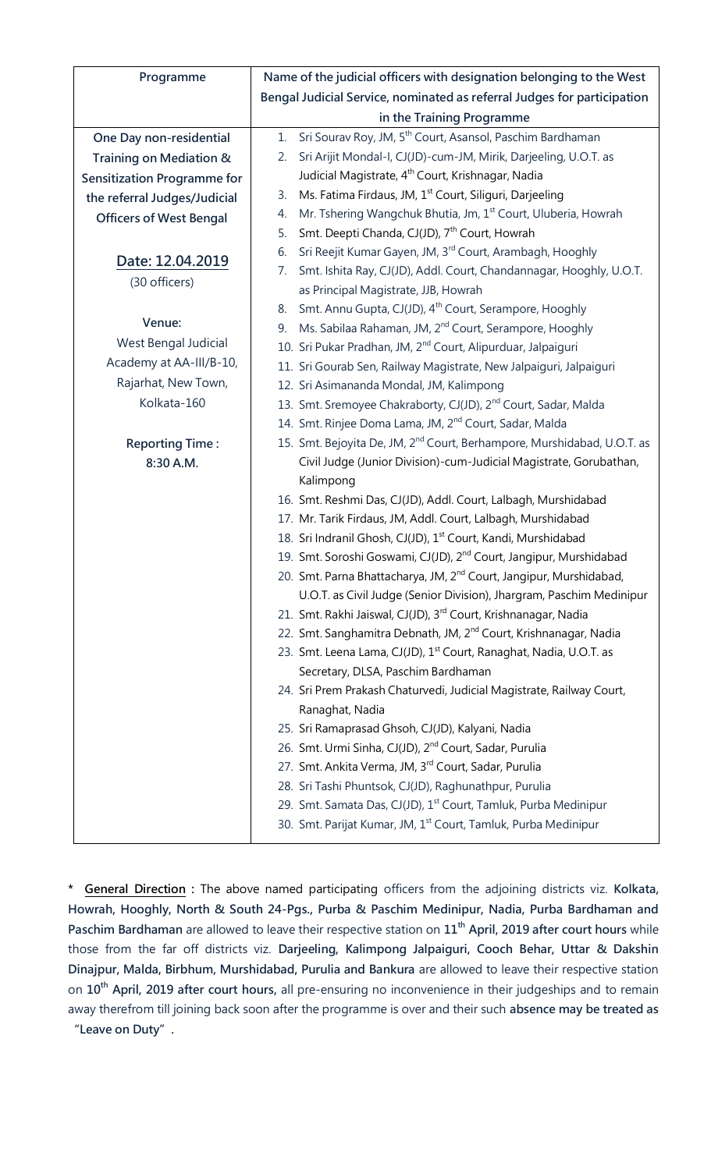| Programme                          | Name of the judicial officers with designation belonging to the West                |
|------------------------------------|-------------------------------------------------------------------------------------|
|                                    | Bengal Judicial Service, nominated as referral Judges for participation             |
|                                    | in the Training Programme                                                           |
| One Day non-residential            | Sri Sourav Roy, JM, 5 <sup>th</sup> Court, Asansol, Paschim Bardhaman<br>1.         |
| Training on Mediation &            | Sri Arijit Mondal-I, CJ(JD)-cum-JM, Mirik, Darjeeling, U.O.T. as<br>2.              |
| <b>Sensitization Programme for</b> | Judicial Magistrate, 4 <sup>th</sup> Court, Krishnagar, Nadia                       |
| the referral Judges/Judicial       | Ms. Fatima Firdaus, JM, 1 <sup>st</sup> Court, Siliguri, Darjeeling<br>3.           |
| <b>Officers of West Bengal</b>     | Mr. Tshering Wangchuk Bhutia, Jm, 1 <sup>st</sup> Court, Uluberia, Howrah<br>4.     |
|                                    | Smt. Deepti Chanda, CJ(JD), 7 <sup>th</sup> Court, Howrah<br>5.                     |
| Date: 12.04.2019                   | Sri Reejit Kumar Gayen, JM, 3 <sup>rd</sup> Court, Arambagh, Hooghly<br>6.          |
|                                    | Smt. Ishita Ray, CJ(JD), Addl. Court, Chandannagar, Hooghly, U.O.T.<br>7.           |
| (30 officers)                      | as Principal Magistrate, JJB, Howrah                                                |
|                                    | Smt. Annu Gupta, CJ(JD), 4 <sup>th</sup> Court, Serampore, Hooghly<br>8.            |
| Venue:                             | Ms. Sabilaa Rahaman, JM, 2 <sup>nd</sup> Court, Serampore, Hooghly<br>9.            |
| West Bengal Judicial               | 10. Sri Pukar Pradhan, JM, 2 <sup>nd</sup> Court, Alipurduar, Jalpaiguri            |
| Academy at AA-III/B-10,            | 11. Sri Gourab Sen, Railway Magistrate, New Jalpaiguri, Jalpaiguri                  |
| Rajarhat, New Town,                | 12. Sri Asimananda Mondal, JM, Kalimpong                                            |
| Kolkata-160                        | 13. Smt. Sremoyee Chakraborty, CJ(JD), 2 <sup>nd</sup> Court, Sadar, Malda          |
|                                    | 14. Smt. Rinjee Doma Lama, JM, 2 <sup>nd</sup> Court, Sadar, Malda                  |
| <b>Reporting Time:</b>             | 15. Smt. Bejoyita De, JM, 2 <sup>nd</sup> Court, Berhampore, Murshidabad, U.O.T. as |
| 8:30 A.M.                          | Civil Judge (Junior Division)-cum-Judicial Magistrate, Gorubathan,<br>Kalimpong     |
|                                    | 16. Smt. Reshmi Das, CJ(JD), Addl. Court, Lalbagh, Murshidabad                      |
|                                    | 17. Mr. Tarik Firdaus, JM, Addl. Court, Lalbagh, Murshidabad                        |
|                                    | 18. Sri Indranil Ghosh, CJ(JD), 1 <sup>st</sup> Court, Kandi, Murshidabad           |
|                                    | 19. Smt. Soroshi Goswami, CJ(JD), 2 <sup>nd</sup> Court, Jangipur, Murshidabad      |
|                                    | 20. Smt. Parna Bhattacharya, JM, 2 <sup>nd</sup> Court, Jangipur, Murshidabad,      |
|                                    | U.O.T. as Civil Judge (Senior Division), Jhargram, Paschim Medinipur                |
|                                    | 21. Smt. Rakhi Jaiswal, CJ(JD), 3 <sup>rd</sup> Court, Krishnanagar, Nadia          |
|                                    | 22. Smt. Sanghamitra Debnath, JM, 2 <sup>nd</sup> Court, Krishnanagar, Nadia        |
|                                    | 23. Smt. Leena Lama, CJ(JD), 1st Court, Ranaghat, Nadia, U.O.T. as                  |
|                                    | Secretary, DLSA, Paschim Bardhaman                                                  |
|                                    | 24. Sri Prem Prakash Chaturvedi, Judicial Magistrate, Railway Court,                |
|                                    | Ranaghat, Nadia                                                                     |
|                                    | 25. Sri Ramaprasad Ghsoh, CJ(JD), Kalyani, Nadia                                    |
|                                    | 26. Smt. Urmi Sinha, CJ(JD), 2 <sup>nd</sup> Court, Sadar, Purulia                  |
|                                    | 27. Smt. Ankita Verma, JM, 3 <sup>rd</sup> Court, Sadar, Purulia                    |
|                                    | 28. Sri Tashi Phuntsok, CJ(JD), Raghunathpur, Purulia                               |
|                                    | 29. Smt. Samata Das, CJ(JD), 1 <sup>st</sup> Court, Tamluk, Purba Medinipur         |
|                                    | 30. Smt. Parijat Kumar, JM, 1 <sup>st</sup> Court, Tamluk, Purba Medinipur          |

**<sup>\*</sup> General Direction :** The above named participating officers from the adjoining districts viz. **Kolkata, Howrah, Hooghly, North & South 24-Pgs., Purba & Paschim Medinipur, Nadia, Purba Bardhaman and Paschim Bardhaman** are allowed to leave their respective station on **11th April, 2019 after court hours** while those from the far off districts viz. **Darjeeling, Kalimpong Jalpaiguri, Cooch Behar, Uttar & Dakshin Dinajpur, Malda, Birbhum, Murshidabad, Purulia and Bankura** are allowed to leave their respective station on **10th April, 2019 after court hours,** all pre-ensuring no inconvenience in their judgeships and to remain away therefrom till joining back soon after the programme is over and their such **absence may be treated as** 

**"Leave on Duty".**